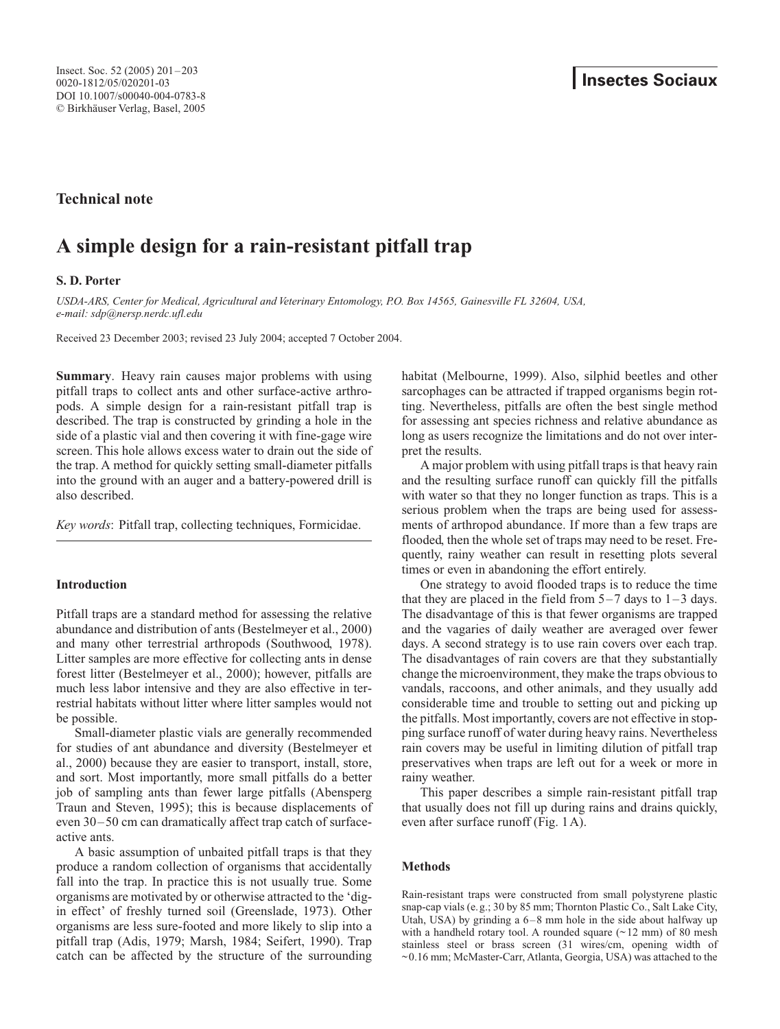**Technical note**

# **A simple design for a rain-resistant pitfall trap**

# **S. D. Porter**

*USDA-ARS, Center for Medical, Agricultural and Veterinary Entomology, P.O. Box 14565, Gainesville FL 32604, USA, e-mail: sdp@nersp.nerdc.ufl.edu*

Received 23 December 2003; revised 23 July 2004; accepted 7 October 2004.

**Summary**. Heavy rain causes major problems with using pitfall traps to collect ants and other surface-active arthropods. A simple design for a rain-resistant pitfall trap is described. The trap is constructed by grinding a hole in the side of a plastic vial and then covering it with fine-gage wire screen. This hole allows excess water to drain out the side of the trap. A method for quickly setting small-diameter pitfalls into the ground with an auger and a battery-powered drill is also described.

*Key words*: Pitfall trap, collecting techniques, Formicidae.

# **Introduction**

Pitfall traps are a standard method for assessing the relative abundance and distribution of ants (Bestelmeyer et al., 2000) and many other terrestrial arthropods (Southwood, 1978). Litter samples are more effective for collecting ants in dense forest litter (Bestelmeyer et al., 2000); however, pitfalls are much less labor intensive and they are also effective in terrestrial habitats without litter where litter samples would not be possible.

Small-diameter plastic vials are generally recommended for studies of ant abundance and diversity (Bestelmeyer et al., 2000) because they are easier to transport, install, store, and sort. Most importantly, more small pitfalls do a better job of sampling ants than fewer large pitfalls (Abensperg Traun and Steven, 1995); this is because displacements of even 30–50 cm can dramatically affect trap catch of surfaceactive ants.

A basic assumption of unbaited pitfall traps is that they produce a random collection of organisms that accidentally fall into the trap. In practice this is not usually true. Some organisms are motivated by or otherwise attracted to the 'digin effect' of freshly turned soil (Greenslade, 1973). Other organisms are less sure-footed and more likely to slip into a pitfall trap (Adis, 1979; Marsh, 1984; Seifert, 1990). Trap catch can be affected by the structure of the surrounding

habitat (Melbourne, 1999). Also, silphid beetles and other sarcophages can be attracted if trapped organisms begin rotting. Nevertheless, pitfalls are often the best single method for assessing ant species richness and relative abundance as long as users recognize the limitations and do not over interpret the results.

A major problem with using pitfall traps is that heavy rain and the resulting surface runoff can quickly fill the pitfalls with water so that they no longer function as traps. This is a serious problem when the traps are being used for assessments of arthropod abundance. If more than a few traps are flooded, then the whole set of traps may need to be reset. Frequently, rainy weather can result in resetting plots several times or even in abandoning the effort entirely.

One strategy to avoid flooded traps is to reduce the time that they are placed in the field from  $5-7$  days to  $1-3$  days. The disadvantage of this is that fewer organisms are trapped and the vagaries of daily weather are averaged over fewer days. A second strategy is to use rain covers over each trap. The disadvantages of rain covers are that they substantially change the microenvironment, they make the traps obvious to vandals, raccoons, and other animals, and they usually add considerable time and trouble to setting out and picking up the pitfalls. Most importantly, covers are not effective in stopping surface runoff of water during heavy rains. Nevertheless rain covers may be useful in limiting dilution of pitfall trap preservatives when traps are left out for a week or more in rainy weather.

This paper describes a simple rain-resistant pitfall trap that usually does not fill up during rains and drains quickly, even after surface runoff (Fig. 1A).

## **Methods**

Rain-resistant traps were constructed from small polystyrene plastic snap-cap vials (e.g.; 30 by 85 mm; Thornton Plastic Co., Salt Lake City, Utah, USA) by grinding a 6–8 mm hole in the side about halfway up with a handheld rotary tool. A rounded square  $(\sim 12 \text{ mm})$  of 80 mesh stainless steel or brass screen (31 wires/cm, opening width of ~0.16 mm; McMaster-Carr, Atlanta, Georgia, USA) was attached to the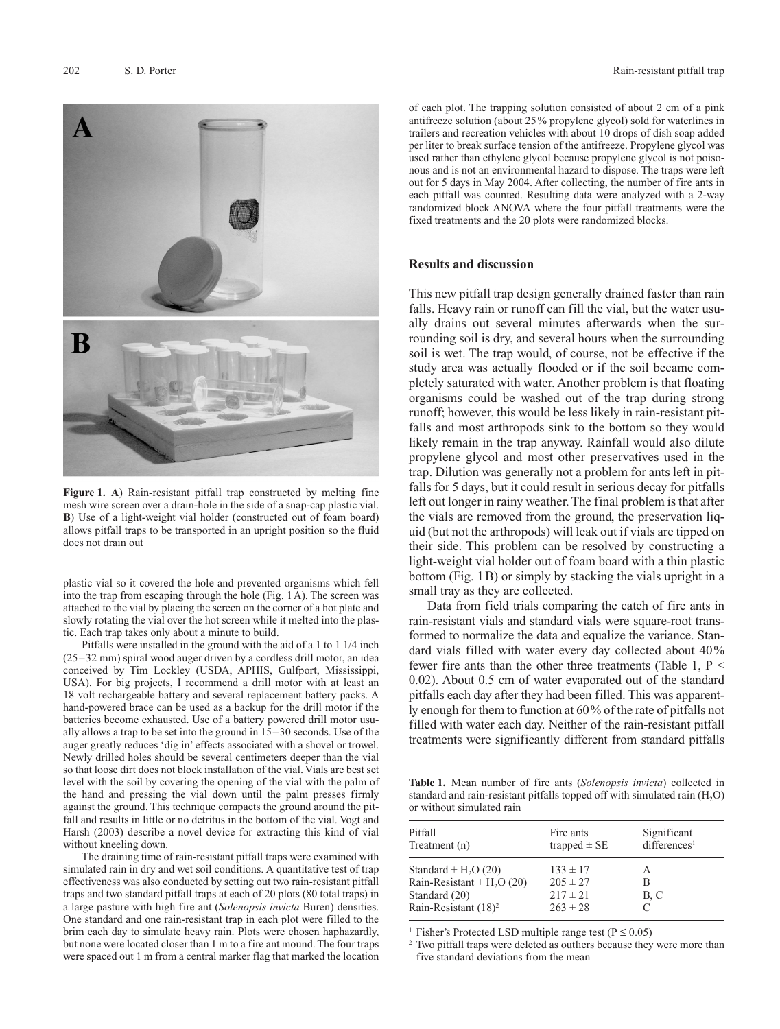

**Figure 1. A**) Rain-resistant pitfall trap constructed by melting fine mesh wire screen over a drain-hole in the side of a snap-cap plastic vial. **B**) Use of a light-weight vial holder (constructed out of foam board) allows pitfall traps to be transported in an upright position so the fluid does not drain out

plastic vial so it covered the hole and prevented organisms which fell into the trap from escaping through the hole (Fig. 1A). The screen was attached to the vial by placing the screen on the corner of a hot plate and slowly rotating the vial over the hot screen while it melted into the plastic. Each trap takes only about a minute to build.

Pitfalls were installed in the ground with the aid of a 1 to 1 1/4 inch (25–32 mm) spiral wood auger driven by a cordless drill motor, an idea conceived by Tim Lockley (USDA, APHIS, Gulfport, Mississippi, USA). For big projects, I recommend a drill motor with at least an 18 volt rechargeable battery and several replacement battery packs. A hand-powered brace can be used as a backup for the drill motor if the batteries become exhausted. Use of a battery powered drill motor usually allows a trap to be set into the ground in 15–30 seconds. Use of the auger greatly reduces 'dig in' effects associated with a shovel or trowel. Newly drilled holes should be several centimeters deeper than the vial so that loose dirt does not block installation of the vial. Vials are best set level with the soil by covering the opening of the vial with the palm of the hand and pressing the vial down until the palm presses firmly against the ground. This technique compacts the ground around the pitfall and results in little or no detritus in the bottom of the vial. Vogt and Harsh (2003) describe a novel device for extracting this kind of vial without kneeling down.

The draining time of rain-resistant pitfall traps were examined with simulated rain in dry and wet soil conditions. A quantitative test of trap effectiveness was also conducted by setting out two rain-resistant pitfall traps and two standard pitfall traps at each of 20 plots (80 total traps) in a large pasture with high fire ant (*Solenopsis invicta* Buren) densities. One standard and one rain-resistant trap in each plot were filled to the brim each day to simulate heavy rain. Plots were chosen haphazardly, but none were located closer than 1 m to a fire ant mound. The four traps were spaced out 1 m from a central marker flag that marked the location of each plot. The trapping solution consisted of about 2 cm of a pink antifreeze solution (about 25% propylene glycol) sold for waterlines in trailers and recreation vehicles with about 10 drops of dish soap added per liter to break surface tension of the antifreeze. Propylene glycol was used rather than ethylene glycol because propylene glycol is not poisonous and is not an environmental hazard to dispose. The traps were left out for 5 days in May 2004. After collecting, the number of fire ants in each pitfall was counted. Resulting data were analyzed with a 2-way randomized block ANOVA where the four pitfall treatments were the fixed treatments and the 20 plots were randomized blocks.

### **Results and discussion**

This new pitfall trap design generally drained faster than rain falls. Heavy rain or runoff can fill the vial, but the water usually drains out several minutes afterwards when the surrounding soil is dry, and several hours when the surrounding soil is wet. The trap would, of course, not be effective if the study area was actually flooded or if the soil became completely saturated with water. Another problem is that floating organisms could be washed out of the trap during strong runoff; however, this would be less likely in rain-resistant pitfalls and most arthropods sink to the bottom so they would likely remain in the trap anyway. Rainfall would also dilute propylene glycol and most other preservatives used in the trap. Dilution was generally not a problem for ants left in pitfalls for 5 days, but it could result in serious decay for pitfalls left out longer in rainy weather. The final problem is that after the vials are removed from the ground, the preservation liquid (but not the arthropods) will leak out if vials are tipped on their side. This problem can be resolved by constructing a light-weight vial holder out of foam board with a thin plastic bottom (Fig. 1B) or simply by stacking the vials upright in a small tray as they are collected.

Data from field trials comparing the catch of fire ants in rain-resistant vials and standard vials were square-root transformed to normalize the data and equalize the variance. Standard vials filled with water every day collected about 40% fewer fire ants than the other three treatments (Table 1,  $P \leq$ 0.02). About 0.5 cm of water evaporated out of the standard pitfalls each day after they had been filled. This was apparently enough for them to function at 60% of the rate of pitfalls not filled with water each day. Neither of the rain-resistant pitfall treatments were significantly different from standard pitfalls

**Table 1.** Mean number of fire ants (*Solenopsis invicta*) collected in standard and rain-resistant pitfalls topped off with simulated rain  $(H<sub>2</sub>O)$ or without simulated rain

| Pitfall<br>Treatment (n)         | Fire ants<br>trapped $\pm$ SE | Significant<br>differences <sup>1</sup> |
|----------------------------------|-------------------------------|-----------------------------------------|
| Standard + $H2O(20)$             | $133 \pm 17$                  | А                                       |
| Rain-Resistant + $H2O(20)$       | $205 \pm 27$                  | В                                       |
| Standard (20)                    | $217 \pm 21$                  | B, C                                    |
| Rain-Resistant (18) <sup>2</sup> | $263 \pm 28$                  | $\subset$                               |

<sup>1</sup> Fisher's Protected LSD multiple range test ( $P \le 0.05$ )

<sup>2</sup> Two pitfall traps were deleted as outliers because they were more than five standard deviations from the mean